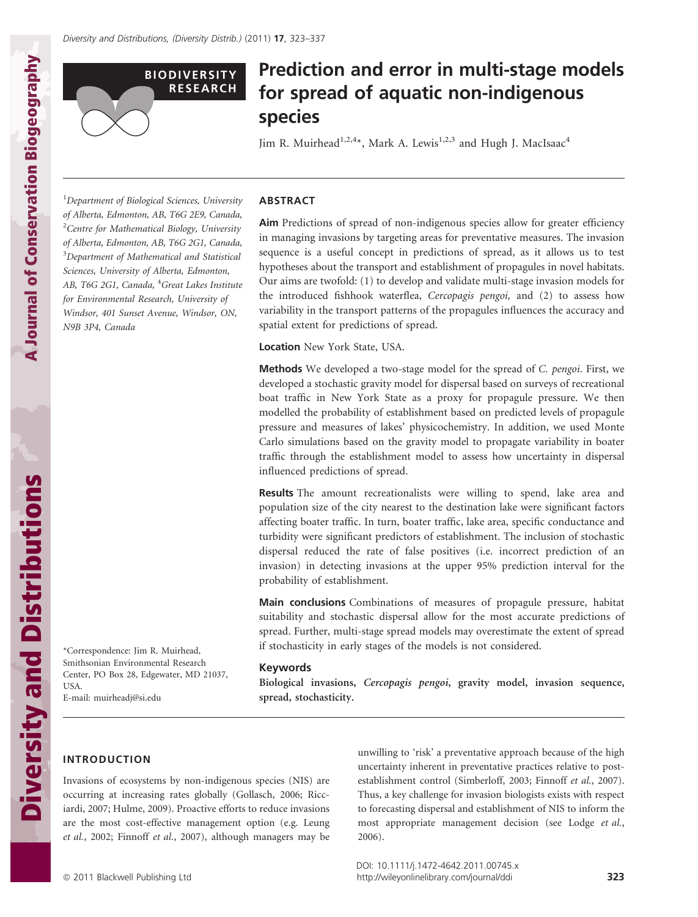

# Prediction and error in multi-stage models for spread of aquatic non-indigenous species

 $\text{Lim } R$ . Muirhead<sup>1,2,4</sup>\*, Mark A. Lewis<sup>1,2,3</sup> and Hugh J. MacIsaac<sup>4</sup>

<sup>1</sup>Department of Biological Sciences, University of Alberta, Edmonton, AB, T6G 2E9, Canada, <sup>2</sup> Centre for Mathematical Biology, University of Alberta, Edmonton, AB, T6G 2G1, Canada, <sup>3</sup>Department of Mathematical and Statistical Sciences, University of Alberta, Edmonton, AB, T6G 2G1, Canada, <sup>4</sup>Great Lakes Institute for Environmental Research, University of Windsor, 401 Sunset Avenue, Windsor, ON, N9B 3P4, Canada

## \*Correspondence: Jim R. Muirhead, Smithsonian Environmental Research Center, PO Box 28, Edgewater, MD 21037, USA.

E-mail: muirheadj@si.edu

#### ABSTRACT

Aim Predictions of spread of non-indigenous species allow for greater efficiency in managing invasions by targeting areas for preventative measures. The invasion sequence is a useful concept in predictions of spread, as it allows us to test hypotheses about the transport and establishment of propagules in novel habitats. Our aims are twofold: (1) to develop and validate multi-stage invasion models for the introduced fishhook waterflea, Cercopagis pengoi, and (2) to assess how variability in the transport patterns of the propagules influences the accuracy and spatial extent for predictions of spread.

Location New York State, USA.

Methods We developed a two-stage model for the spread of C. pengoi. First, we developed a stochastic gravity model for dispersal based on surveys of recreational boat traffic in New York State as a proxy for propagule pressure. We then modelled the probability of establishment based on predicted levels of propagule pressure and measures of lakes' physicochemistry. In addition, we used Monte Carlo simulations based on the gravity model to propagate variability in boater traffic through the establishment model to assess how uncertainty in dispersal influenced predictions of spread.

Results The amount recreationalists were willing to spend, lake area and population size of the city nearest to the destination lake were significant factors affecting boater traffic. In turn, boater traffic, lake area, specific conductance and turbidity were significant predictors of establishment. The inclusion of stochastic dispersal reduced the rate of false positives (i.e. incorrect prediction of an invasion) in detecting invasions at the upper 95% prediction interval for the probability of establishment.

Main conclusions Combinations of measures of propagule pressure, habitat suitability and stochastic dispersal allow for the most accurate predictions of spread. Further, multi-stage spread models may overestimate the extent of spread if stochasticity in early stages of the models is not considered.

#### Keywords

Biological invasions, Cercopagis pengoi, gravity model, invasion sequence, spread, stochasticity.

#### INTRODUCTION

Invasions of ecosystems by non-indigenous species (NIS) are occurring at increasing rates globally (Gollasch, 2006; Ricciardi, 2007; Hulme, 2009). Proactive efforts to reduce invasions are the most cost-effective management option (e.g. Leung et al., 2002; Finnoff et al., 2007), although managers may be unwilling to 'risk' a preventative approach because of the high uncertainty inherent in preventative practices relative to postestablishment control (Simberloff, 2003; Finnoff et al., 2007). Thus, a key challenge for invasion biologists exists with respect to forecasting dispersal and establishment of NIS to inform the most appropriate management decision (see Lodge et al., 2006).

A Journal of Conservation Biogeography

**A Journal of Conservation Biogeography**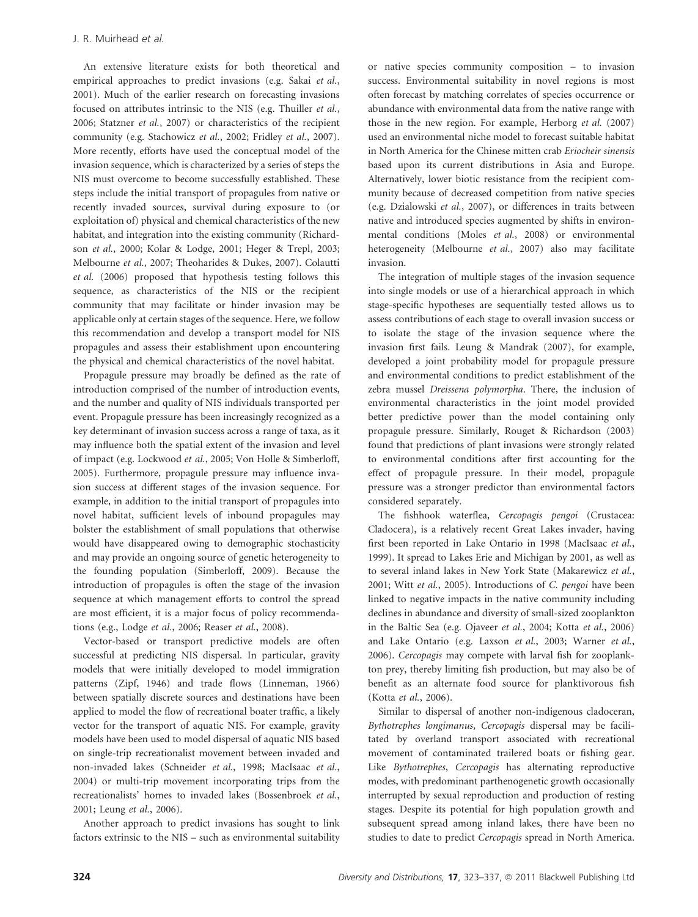An extensive literature exists for both theoretical and empirical approaches to predict invasions (e.g. Sakai et al., 2001). Much of the earlier research on forecasting invasions focused on attributes intrinsic to the NIS (e.g. Thuiller et al., 2006; Statzner et al., 2007) or characteristics of the recipient community (e.g. Stachowicz et al., 2002; Fridley et al., 2007). More recently, efforts have used the conceptual model of the invasion sequence, which is characterized by a series of steps the NIS must overcome to become successfully established. These steps include the initial transport of propagules from native or recently invaded sources, survival during exposure to (or exploitation of) physical and chemical characteristics of the new habitat, and integration into the existing community (Richardson et al., 2000; Kolar & Lodge, 2001; Heger & Trepl, 2003; Melbourne et al., 2007; Theoharides & Dukes, 2007). Colautti et al. (2006) proposed that hypothesis testing follows this sequence, as characteristics of the NIS or the recipient community that may facilitate or hinder invasion may be applicable only at certain stages of the sequence. Here, we follow this recommendation and develop a transport model for NIS propagules and assess their establishment upon encountering the physical and chemical characteristics of the novel habitat.

Propagule pressure may broadly be defined as the rate of introduction comprised of the number of introduction events, and the number and quality of NIS individuals transported per event. Propagule pressure has been increasingly recognized as a key determinant of invasion success across a range of taxa, as it may influence both the spatial extent of the invasion and level of impact (e.g. Lockwood et al., 2005; Von Holle & Simberloff, 2005). Furthermore, propagule pressure may influence invasion success at different stages of the invasion sequence. For example, in addition to the initial transport of propagules into novel habitat, sufficient levels of inbound propagules may bolster the establishment of small populations that otherwise would have disappeared owing to demographic stochasticity and may provide an ongoing source of genetic heterogeneity to the founding population (Simberloff, 2009). Because the introduction of propagules is often the stage of the invasion sequence at which management efforts to control the spread are most efficient, it is a major focus of policy recommendations (e.g., Lodge et al., 2006; Reaser et al., 2008).

Vector-based or transport predictive models are often successful at predicting NIS dispersal. In particular, gravity models that were initially developed to model immigration patterns (Zipf, 1946) and trade flows (Linneman, 1966) between spatially discrete sources and destinations have been applied to model the flow of recreational boater traffic, a likely vector for the transport of aquatic NIS. For example, gravity models have been used to model dispersal of aquatic NIS based on single-trip recreationalist movement between invaded and non-invaded lakes (Schneider et al., 1998; MacIsaac et al., 2004) or multi-trip movement incorporating trips from the recreationalists' homes to invaded lakes (Bossenbroek et al., 2001; Leung et al., 2006).

Another approach to predict invasions has sought to link factors extrinsic to the NIS – such as environmental suitability

or native species community composition – to invasion success. Environmental suitability in novel regions is most often forecast by matching correlates of species occurrence or abundance with environmental data from the native range with those in the new region. For example, Herborg et al. (2007) used an environmental niche model to forecast suitable habitat in North America for the Chinese mitten crab Eriocheir sinensis based upon its current distributions in Asia and Europe. Alternatively, lower biotic resistance from the recipient community because of decreased competition from native species (e.g. Dzialowski et al., 2007), or differences in traits between native and introduced species augmented by shifts in environmental conditions (Moles et al., 2008) or environmental heterogeneity (Melbourne et al., 2007) also may facilitate invasion.

The integration of multiple stages of the invasion sequence into single models or use of a hierarchical approach in which stage-specific hypotheses are sequentially tested allows us to assess contributions of each stage to overall invasion success or to isolate the stage of the invasion sequence where the invasion first fails. Leung & Mandrak (2007), for example, developed a joint probability model for propagule pressure and environmental conditions to predict establishment of the zebra mussel Dreissena polymorpha. There, the inclusion of environmental characteristics in the joint model provided better predictive power than the model containing only propagule pressure. Similarly, Rouget & Richardson (2003) found that predictions of plant invasions were strongly related to environmental conditions after first accounting for the effect of propagule pressure. In their model, propagule pressure was a stronger predictor than environmental factors considered separately.

The fishhook waterflea, Cercopagis pengoi (Crustacea: Cladocera), is a relatively recent Great Lakes invader, having first been reported in Lake Ontario in 1998 (MacIsaac et al., 1999). It spread to Lakes Erie and Michigan by 2001, as well as to several inland lakes in New York State (Makarewicz et al., 2001; Witt et al., 2005). Introductions of C. pengoi have been linked to negative impacts in the native community including declines in abundance and diversity of small-sized zooplankton in the Baltic Sea (e.g. Ojaveer et al., 2004; Kotta et al., 2006) and Lake Ontario (e.g. Laxson et al., 2003; Warner et al., 2006). Cercopagis may compete with larval fish for zooplankton prey, thereby limiting fish production, but may also be of benefit as an alternate food source for planktivorous fish (Kotta et al., 2006).

Similar to dispersal of another non-indigenous cladoceran, Bythotrephes longimanus, Cercopagis dispersal may be facilitated by overland transport associated with recreational movement of contaminated trailered boats or fishing gear. Like Bythotrephes, Cercopagis has alternating reproductive modes, with predominant parthenogenetic growth occasionally interrupted by sexual reproduction and production of resting stages. Despite its potential for high population growth and subsequent spread among inland lakes, there have been no studies to date to predict Cercopagis spread in North America.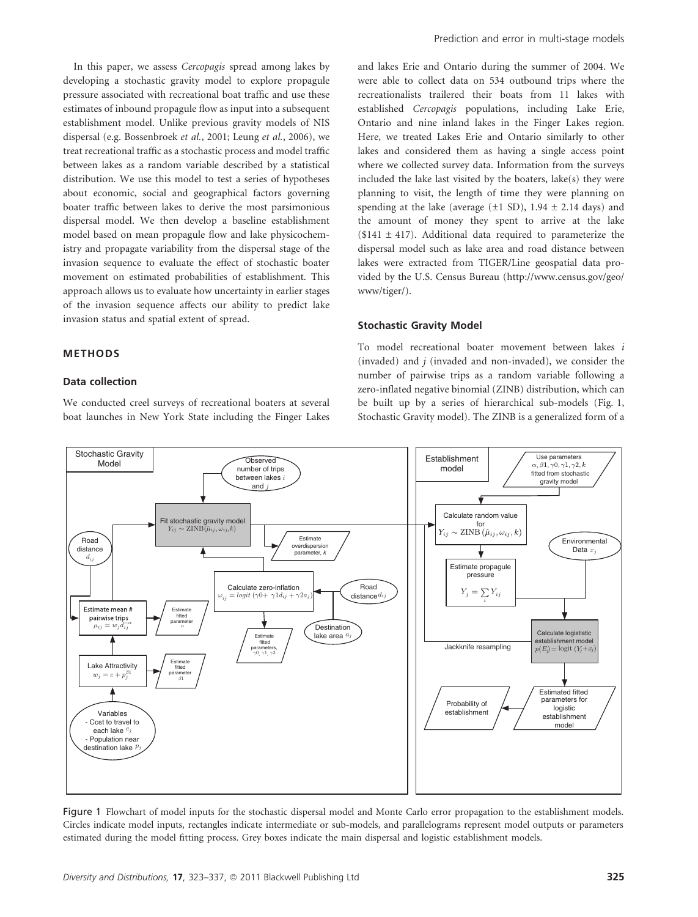In this paper, we assess Cercopagis spread among lakes by developing a stochastic gravity model to explore propagule pressure associated with recreational boat traffic and use these estimates of inbound propagule flow as input into a subsequent establishment model. Unlike previous gravity models of NIS dispersal (e.g. Bossenbroek et al., 2001; Leung et al., 2006), we treat recreational traffic as a stochastic process and model traffic between lakes as a random variable described by a statistical distribution. We use this model to test a series of hypotheses about economic, social and geographical factors governing boater traffic between lakes to derive the most parsimonious dispersal model. We then develop a baseline establishment model based on mean propagule flow and lake physicochemistry and propagate variability from the dispersal stage of the invasion sequence to evaluate the effect of stochastic boater movement on estimated probabilities of establishment. This approach allows us to evaluate how uncertainty in earlier stages of the invasion sequence affects our ability to predict lake invasion status and spatial extent of spread.

#### **METHODS**

#### Data collection

We conducted creel surveys of recreational boaters at several boat launches in New York State including the Finger Lakes and lakes Erie and Ontario during the summer of 2004. We were able to collect data on 534 outbound trips where the recreationalists trailered their boats from 11 lakes with established Cercopagis populations, including Lake Erie, Ontario and nine inland lakes in the Finger Lakes region. Here, we treated Lakes Erie and Ontario similarly to other lakes and considered them as having a single access point where we collected survey data. Information from the surveys included the lake last visited by the boaters, lake(s) they were planning to visit, the length of time they were planning on spending at the lake (average  $(\pm 1 \text{ SD})$ , 1.94  $\pm$  2.14 days) and the amount of money they spent to arrive at the lake (\$141  $\pm$  417). Additional data required to parameterize the dispersal model such as lake area and road distance between lakes were extracted from TIGER/Line geospatial data provided by the U.S. Census Bureau (http://www.census.gov/geo/ www/tiger/).

#### Stochastic Gravity Model

To model recreational boater movement between lakes i (invaded) and  $i$  (invaded and non-invaded), we consider the number of pairwise trips as a random variable following a zero-inflated negative binomial (ZINB) distribution, which can be built up by a series of hierarchical sub-models (Fig. 1, Stochastic Gravity model). The ZINB is a generalized form of a



Figure 1 Flowchart of model inputs for the stochastic dispersal model and Monte Carlo error propagation to the establishment models. Circles indicate model inputs, rectangles indicate intermediate or sub-models, and parallelograms represent model outputs or parameters estimated during the model fitting process. Grey boxes indicate the main dispersal and logistic establishment models.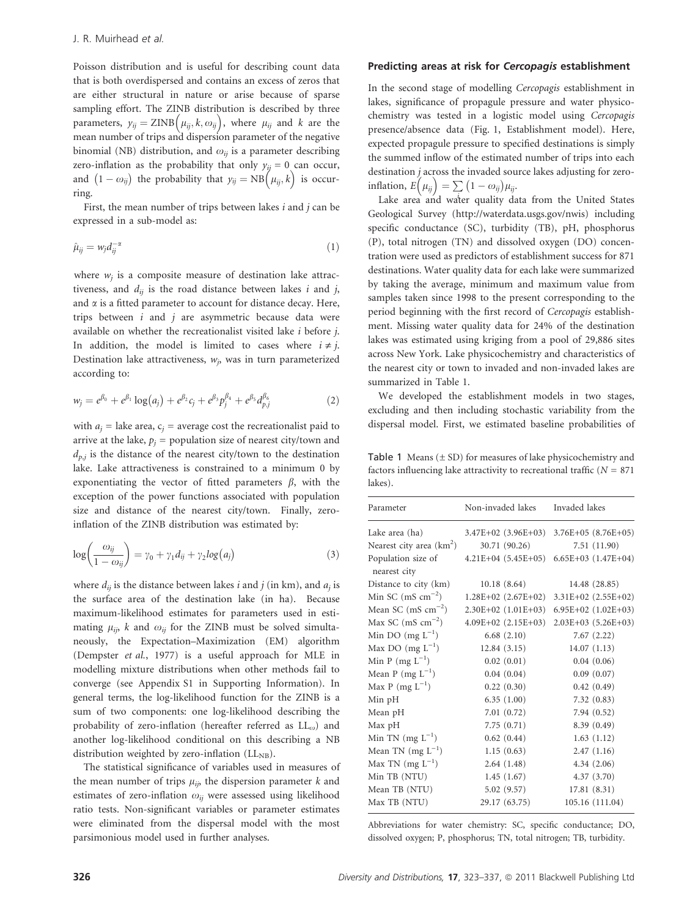Poisson distribution and is useful for describing count data that is both overdispersed and contains an excess of zeros that are either structural in nature or arise because of sparse sampling effort. The ZINB distribution is described by three parameters,  $y_{ij} = ZINB ( \mu_{ij}, k, \omega_{ij} )$ , where  $\mu_{ij}$  and k are the mean number of trips and dispersion parameter of the negative binomial (NB) distribution, and  $\omega_{ij}$  is a parameter describing zero-inflation as the probability that only  $y_{ij} = 0$  can occur, zero-inhation as the probability that  $y_{ij} = NB(\mu_{ij}, k)$  is occur-<br>and  $(1 - \omega_{ij})$  the probability that  $y_{ij} = NB(\mu_{ij}, k)$  is occurring.

First, the mean number of trips between lakes  $i$  and  $j$  can be expressed in a sub-model as:

$$
\hat{\mu}_{ij} = w_j d_{ij}^{-\alpha} \tag{1}
$$

where  $w_i$  is a composite measure of destination lake attractiveness, and  $d_{ii}$  is the road distance between lakes i and j, and  $\alpha$  is a fitted parameter to account for distance decay. Here, trips between  $i$  and  $j$  are asymmetric because data were available on whether the recreationalist visited lake i before j. In addition, the model is limited to cases where  $i \neq j$ . Destination lake attractiveness,  $w_i$ , was in turn parameterized according to:

$$
w_j = e^{\beta_0} + e^{\beta_1} \log(a_j) + e^{\beta_2} c_j + e^{\beta_3} p_j^{\beta_4} + e^{\beta_5} d_{p,j}^{\beta_6}
$$
 (2)

with  $a_i$  = lake area,  $c_i$  = average cost the recreationalist paid to arrive at the lake,  $p_i$  = population size of nearest city/town and  $d_{p,i}$  is the distance of the nearest city/town to the destination lake. Lake attractiveness is constrained to a minimum 0 by exponentiating the vector of fitted parameters  $\beta$ , with the exception of the power functions associated with population size and distance of the nearest city/town. Finally, zeroinflation of the ZINB distribution was estimated by:

$$
\log\left(\frac{\omega_{ij}}{1-\omega_{ij}}\right) = \gamma_0 + \gamma_1 d_{ij} + \gamma_2 \log\left(a_j\right) \tag{3}
$$

where  $d_{ii}$  is the distance between lakes *i* and *j* (in km), and  $a_i$  is the surface area of the destination lake (in ha). Because maximum-likelihood estimates for parameters used in estimating  $\mu_{ij}$ , k and  $\omega_{ij}$  for the ZINB must be solved simultaneously, the Expectation–Maximization (EM) algorithm (Dempster et al., 1977) is a useful approach for MLE in modelling mixture distributions when other methods fail to converge (see Appendix S1 in Supporting Information). In general terms, the log-likelihood function for the ZINB is a sum of two components: one log-likelihood describing the probability of zero-inflation (hereafter referred as  $LL_{\omega}$ ) and another log-likelihood conditional on this describing a NB distribution weighted by zero-inflation  $(LL_{NB})$ .

The statistical significance of variables used in measures of the mean number of trips  $\mu_{ij}$ , the dispersion parameter k and estimates of zero-inflation  $\omega_{ij}$  were assessed using likelihood ratio tests. Non-significant variables or parameter estimates were eliminated from the dispersal model with the most parsimonious model used in further analyses.

#### Predicting areas at risk for Cercopagis establishment

In the second stage of modelling Cercopagis establishment in lakes, significance of propagule pressure and water physicochemistry was tested in a logistic model using Cercopagis presence/absence data (Fig. 1, Establishment model). Here, expected propagule pressure to specified destinations is simply the summed inflow of the estimated number of trips into each destination j across the invaded source lakes adjusting for zeroinflation,  $E(\mu_{ij}) = \sum_{i=1}^{N} (1 - \omega_{ij}) \mu_{ij}$ .

Lake area and water quality data from the United States Geological Survey (http://waterdata.usgs.gov/nwis) including specific conductance (SC), turbidity (TB), pH, phosphorus (P), total nitrogen (TN) and dissolved oxygen (DO) concentration were used as predictors of establishment success for 871 destinations. Water quality data for each lake were summarized by taking the average, minimum and maximum value from samples taken since 1998 to the present corresponding to the period beginning with the first record of Cercopagis establishment. Missing water quality data for 24% of the destination lakes was estimated using kriging from a pool of 29,886 sites across New York. Lake physicochemistry and characteristics of the nearest city or town to invaded and non-invaded lakes are summarized in Table 1.

We developed the establishment models in two stages, excluding and then including stochastic variability from the dispersal model. First, we estimated baseline probabilities of

Table 1 Means  $(\pm SD)$  for measures of lake physicochemistry and factors influencing lake attractivity to recreational traffic  $(N = 871)$ lakes).

| Parameter                          | Non-invaded lakes       | Invaded lakes           |  |  |  |
|------------------------------------|-------------------------|-------------------------|--|--|--|
| Lake area (ha)                     | $3.47E+02$ (3.96E+03)   | $3.76E+05$ $(8.76E+05)$ |  |  |  |
| Nearest city area $(km^2)$         | 30.71 (90.26)           | 7.51(11.90)             |  |  |  |
| Population size of<br>nearest city | $4.21E+04$ $(5.45E+05)$ | $6.65E+03$ $(1.47E+04)$ |  |  |  |
| Distance to city (km)              | 10.18(8.64)             | 14.48 (28.85)           |  |  |  |
| Min SC (mS $cm^{-2}$ )             | $1.28E+02$ $(2.67E+02)$ | $3.31E+02$ $(2.55E+02)$ |  |  |  |
| Mean SC (mS $cm^{-2}$ )            | $2.30E+02$ $(1.01E+03)$ | $6.95E+02$ $(1.02E+03)$ |  |  |  |
| Max SC (mS $cm^{-2}$ )             | $4.09E+02$ $(2.15E+03)$ | $2.03E+03$ (5.26E+03)   |  |  |  |
| Min DO $(mg L^{-1})$               | 6.68(2.10)              | 7.67(2.22)              |  |  |  |
| Max DO $(mg L^{-1})$               | 12.84(3.15)             | 14.07(1.13)             |  |  |  |
| Min P (mg $L^{-1}$ )               | 0.02(0.01)              | 0.04(0.06)              |  |  |  |
| Mean P (mg $L^{-1}$ )              | 0.04(0.04)              | 0.09(0.07)              |  |  |  |
| Max P $(mg L^{-1})$                | 0.22(0.30)              | 0.42(0.49)              |  |  |  |
| Min pH                             | 6.35(1.00)              | 7.32(0.83)              |  |  |  |
| Mean pH                            | 7.01(0.72)              | 7.94(0.52)              |  |  |  |
| Max pH                             | 7.75(0.71)              | 8.39(0.49)              |  |  |  |
| Min TN $(mg L^{-1})$               | 0.62(0.44)              | 1.63(1.12)              |  |  |  |
| Mean TN $(mg L^{-1})$              | 1.15(0.63)              | 2.47(1.16)              |  |  |  |
| Max TN $(mg L^{-1})$               | 2.64(1.48)              | 4.34(2.06)              |  |  |  |
| Min TB (NTU)                       | 1.45(1.67)              | 4.37(3.70)              |  |  |  |
| Mean TB (NTU)                      | 5.02(9.57)              | 17.81(8.31)             |  |  |  |
| Max TB (NTU)                       | 29.17 (63.75)           | 105.16 (111.04)         |  |  |  |

Abbreviations for water chemistry: SC, specific conductance; DO, dissolved oxygen; P, phosphorus; TN, total nitrogen; TB, turbidity.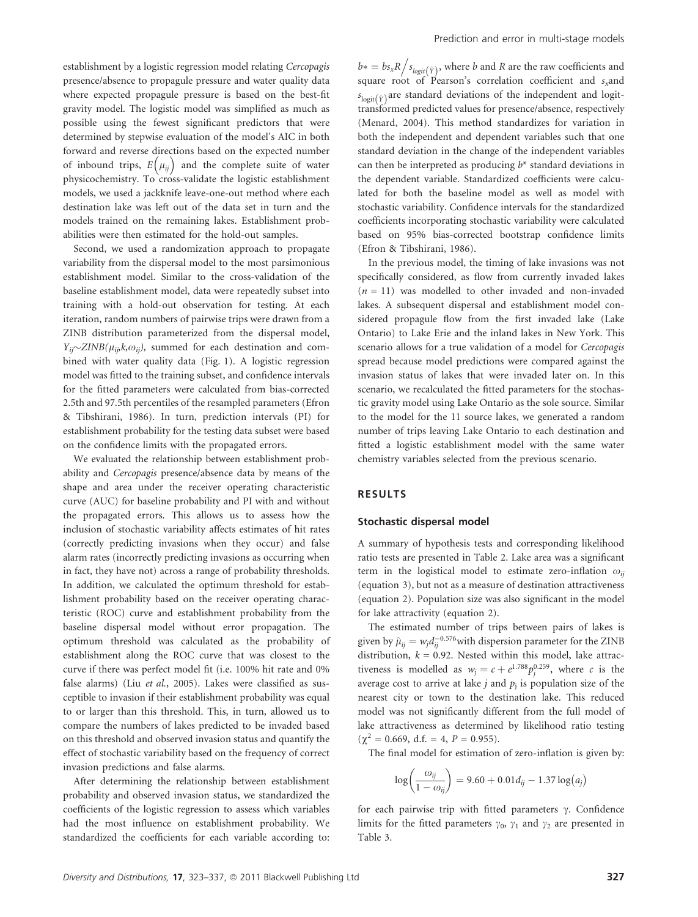establishment by a logistic regression model relating Cercopagis presence/absence to propagule pressure and water quality data where expected propagule pressure is based on the best-fit gravity model. The logistic model was simplified as much as possible using the fewest significant predictors that were determined by stepwise evaluation of the model's AIC in both forward and reverse directions based on the expected number forward and reverse directions based on the expected number<br>of inbound trips,  $E(\mu_{ij})$  and the complete suite of water physicochemistry. To cross-validate the logistic establishment models, we used a jackknife leave-one-out method where each destination lake was left out of the data set in turn and the models trained on the remaining lakes. Establishment probabilities were then estimated for the hold-out samples.

Second, we used a randomization approach to propagate variability from the dispersal model to the most parsimonious establishment model. Similar to the cross-validation of the baseline establishment model, data were repeatedly subset into training with a hold-out observation for testing. At each iteration, random numbers of pairwise trips were drawn from a ZINB distribution parameterized from the dispersal model,  $Y_{ii} \sim ZINB(\mu_{ii}, k, \omega_{ii})$ , summed for each destination and combined with water quality data (Fig. 1). A logistic regression model was fitted to the training subset, and confidence intervals for the fitted parameters were calculated from bias-corrected 2.5th and 97.5th percentiles of the resampled parameters (Efron & Tibshirani, 1986). In turn, prediction intervals (PI) for establishment probability for the testing data subset were based on the confidence limits with the propagated errors.

We evaluated the relationship between establishment probability and Cercopagis presence/absence data by means of the shape and area under the receiver operating characteristic curve (AUC) for baseline probability and PI with and without the propagated errors. This allows us to assess how the inclusion of stochastic variability affects estimates of hit rates (correctly predicting invasions when they occur) and false alarm rates (incorrectly predicting invasions as occurring when in fact, they have not) across a range of probability thresholds. In addition, we calculated the optimum threshold for establishment probability based on the receiver operating characteristic (ROC) curve and establishment probability from the baseline dispersal model without error propagation. The optimum threshold was calculated as the probability of establishment along the ROC curve that was closest to the curve if there was perfect model fit (i.e. 100% hit rate and 0% false alarms) (Liu et al., 2005). Lakes were classified as susceptible to invasion if their establishment probability was equal to or larger than this threshold. This, in turn, allowed us to compare the numbers of lakes predicted to be invaded based on this threshold and observed invasion status and quantify the effect of stochastic variability based on the frequency of correct invasion predictions and false alarms.

After determining the relationship between establishment probability and observed invasion status, we standardized the coefficients of the logistic regression to assess which variables had the most influence on establishment probability. We standardized the coefficients for each variable according to:

 $b* = bs_xR$ .  $s_{logit}(\hat{Y})$ , where b and R are the raw coefficients and square root of Pearson's correlation coefficient and  $s_x$  and  $s_{\text{logit}}(\hat{y})$  are standard deviations of the independent and logittransformed predicted values for presence/absence, respectively (Menard, 2004). This method standardizes for variation in both the independent and dependent variables such that one standard deviation in the change of the independent variables can then be interpreted as producing  $b^*$  standard deviations in the dependent variable. Standardized coefficients were calculated for both the baseline model as well as model with stochastic variability. Confidence intervals for the standardized coefficients incorporating stochastic variability were calculated based on 95% bias-corrected bootstrap confidence limits (Efron & Tibshirani, 1986).

In the previous model, the timing of lake invasions was not specifically considered, as flow from currently invaded lakes  $(n = 11)$  was modelled to other invaded and non-invaded lakes. A subsequent dispersal and establishment model considered propagule flow from the first invaded lake (Lake Ontario) to Lake Erie and the inland lakes in New York. This scenario allows for a true validation of a model for Cercopagis spread because model predictions were compared against the invasion status of lakes that were invaded later on. In this scenario, we recalculated the fitted parameters for the stochastic gravity model using Lake Ontario as the sole source. Similar to the model for the 11 source lakes, we generated a random number of trips leaving Lake Ontario to each destination and fitted a logistic establishment model with the same water chemistry variables selected from the previous scenario.

## RESULTS

#### Stochastic dispersal model

A summary of hypothesis tests and corresponding likelihood ratio tests are presented in Table 2. Lake area was a significant term in the logistical model to estimate zero-inflation  $\omega_{ii}$ (equation 3), but not as a measure of destination attractiveness (equation 2). Population size was also significant in the model for lake attractivity (equation 2).

The estimated number of trips between pairs of lakes is given by  $\hat{\mu}_{ij} = w_j d_{ij}^{-0.576}$  with dispersion parameter for the ZINB distribution,  $k = 0.92$ . Nested within this model, lake attractiveness is modelled as  $w_j = c + e^{1.788} p_j^{0.259}$ , where c is the average cost to arrive at lake j and  $p_i$  is population size of the nearest city or town to the destination lake. This reduced model was not significantly different from the full model of lake attractiveness as determined by likelihood ratio testing  $(\chi^2 = 0.669, d.f. = 4, P = 0.955).$ 

The final model for estimation of zero-inflation is given by:

$$
\log\bigg(\frac{\omega_{ij}}{1-\omega_{ij}}\bigg) = 9.60 + 0.01d_{ij} - 1.37\log(a_j)
$$

for each pairwise trip with fitted parameters  $\gamma$ . Confidence limits for the fitted parameters  $\gamma_0$ ,  $\gamma_1$  and  $\gamma_2$  are presented in Table 3.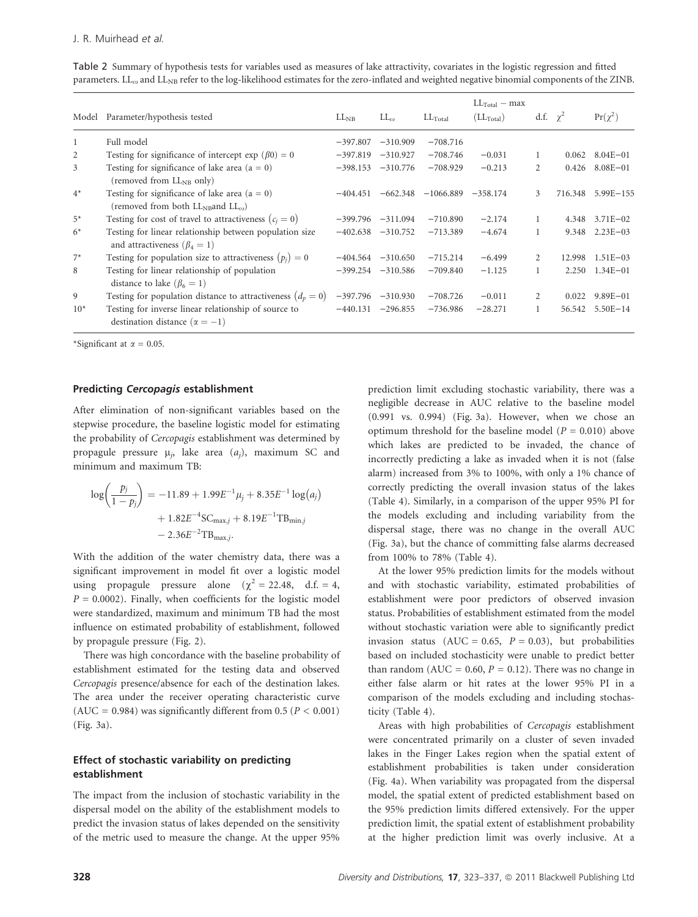| Model | Parameter/hypothesis tested                                                                     | $LL_{NB}$  | $LL_{\omega}$ | $LL$ <sub>Total</sub> | $LL$ <sub>Total</sub> – max<br>$(LL_{\text{Total}})$ | d.f. $\chi^2$ |         | $Pr(\chi^2)$  |
|-------|-------------------------------------------------------------------------------------------------|------------|---------------|-----------------------|------------------------------------------------------|---------------|---------|---------------|
| 1     | Full model                                                                                      | $-397.807$ | $-310.909$    | $-708.716$            |                                                      |               |         |               |
| 2     | Testing for significance of intercept $\exp (\beta 0) = 0$                                      | $-397.819$ | $-310.927$    | $-708.746$            | $-0.031$                                             |               | 0.062   | $8.04E - 01$  |
| 3     | Testing for significance of lake area $(a = 0)$<br>(removed from LL <sub>NB</sub> only)         | $-398.153$ | $-310.776$    | $-708.929$            | $-0.213$                                             | 2             | 0.426   | $8.08E - 01$  |
| $4^*$ | Testing for significance of lake area $(a = 0)$<br>(removed from both $LL_{NR}$ and $LL_{co}$ ) | $-404.451$ | $-662.348$    | $-1066,889$           | $-358.174$                                           | 3             | 716.348 | $5.99E - 155$ |
| $5^*$ | Testing for cost of travel to attractiveness $(ci = 0)$                                         | $-399.796$ | $-311.094$    | $-710.890$            | $-2.174$                                             |               | 4.348   | $3.71E - 02$  |
| $6*$  | Testing for linear relationship between population size<br>and attractiveness ( $\beta_4 = 1$ ) | $-402.638$ | $-310.752$    | $-713.389$            | $-4.674$                                             |               | 9.348   | $2.23E - 03$  |
| $7^*$ | Testing for population size to attractiveness $(p_i) = 0$                                       | $-404.564$ | $-310.650$    | $-715.214$            | $-6.499$                                             | 2             | 12.998  | $1.51E - 03$  |
| 8     | Testing for linear relationship of population<br>distance to lake $(\beta_6 = 1)$               | $-399.254$ | $-310.586$    | $-709.840$            | $-1.125$                                             |               | 2.250   | $1.34E - 01$  |
| 9     | Testing for population distance to attractiveness $(d_p = 0)$                                   | $-397.796$ | $-310.930$    | $-708.726$            | $-0.011$                                             | 2             | 0.022   | $9.89E - 01$  |
| $10*$ | Testing for inverse linear relationship of source to<br>destination distance ( $\alpha = -1$ )  | $-440.131$ | $-296.855$    | $-736.986$            | $-28.271$                                            |               | 56.542  | $5.50E - 14$  |

Table 2 Summary of hypothesis tests for variables used as measures of lake attractivity, covariates in the logistic regression and fitted parameters. LL<sub> $\omega$ </sub> and LL<sub>NB</sub> refer to the log-likelihood estimates for the zero-inflated and weighted negative binomial components of the ZINB.

\*Significant at  $\alpha = 0.05$ .

#### Predicting Cercopagis establishment

After elimination of non-significant variables based on the stepwise procedure, the baseline logistic model for estimating the probability of Cercopagis establishment was determined by propagule pressure  $\mu_j$ , lake area  $(a_j)$ , maximum SC and minimum and maximum TB:

$$
\log\left(\frac{p_j}{1-p_j}\right) = -11.89 + 1.99E^{-1}\mu_j + 8.35E^{-1}\log(a_j) + 1.82E^{-4}S_{\text{max},j} + 8.19E^{-1}TB_{\text{min},j} - 2.36E^{-2}TB_{\text{max},j}.
$$

With the addition of the water chemistry data, there was a significant improvement in model fit over a logistic model using propagule pressure alone  $(\chi^2 = 22.48, d.f. = 4,$  $P = 0.0002$ ). Finally, when coefficients for the logistic model were standardized, maximum and minimum TB had the most influence on estimated probability of establishment, followed by propagule pressure (Fig. 2).

There was high concordance with the baseline probability of establishment estimated for the testing data and observed Cercopagis presence/absence for each of the destination lakes. The area under the receiver operating characteristic curve (AUC = 0.984) was significantly different from 0.5 ( $P < 0.001$ ) (Fig. 3a).

# Effect of stochastic variability on predicting establishment

The impact from the inclusion of stochastic variability in the dispersal model on the ability of the establishment models to predict the invasion status of lakes depended on the sensitivity of the metric used to measure the change. At the upper 95%

prediction limit excluding stochastic variability, there was a negligible decrease in AUC relative to the baseline model (0.991 vs. 0.994) (Fig. 3a). However, when we chose an optimum threshold for the baseline model ( $P = 0.010$ ) above which lakes are predicted to be invaded, the chance of incorrectly predicting a lake as invaded when it is not (false alarm) increased from 3% to 100%, with only a 1% chance of correctly predicting the overall invasion status of the lakes (Table 4). Similarly, in a comparison of the upper 95% PI for the models excluding and including variability from the dispersal stage, there was no change in the overall AUC (Fig. 3a), but the chance of committing false alarms decreased from 100% to 78% (Table 4).

At the lower 95% prediction limits for the models without and with stochastic variability, estimated probabilities of establishment were poor predictors of observed invasion status. Probabilities of establishment estimated from the model without stochastic variation were able to significantly predict invasion status (AUC = 0.65,  $P = 0.03$ ), but probabilities based on included stochasticity were unable to predict better than random (AUC =  $0.60$ ,  $P = 0.12$ ). There was no change in either false alarm or hit rates at the lower 95% PI in a comparison of the models excluding and including stochasticity (Table 4).

Areas with high probabilities of Cercopagis establishment were concentrated primarily on a cluster of seven invaded lakes in the Finger Lakes region when the spatial extent of establishment probabilities is taken under consideration (Fig. 4a). When variability was propagated from the dispersal model, the spatial extent of predicted establishment based on the 95% prediction limits differed extensively. For the upper prediction limit, the spatial extent of establishment probability at the higher prediction limit was overly inclusive. At a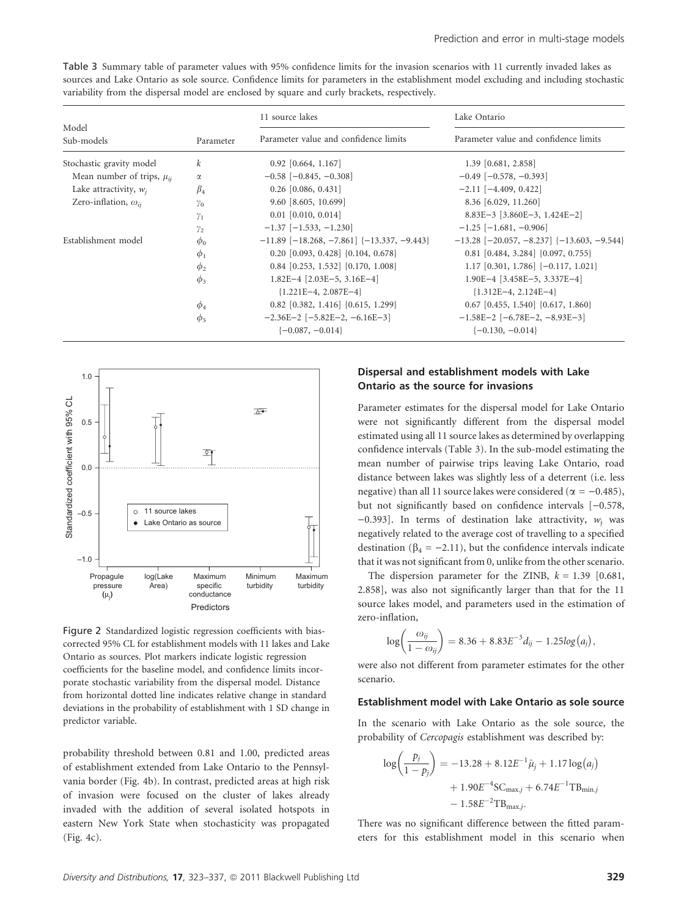|                                  |            | 11 source lakes                                                | Lake Ontario<br>Parameter value and confidence limits    |  |  |  |
|----------------------------------|------------|----------------------------------------------------------------|----------------------------------------------------------|--|--|--|
| Model<br>Sub-models              | Parameter  | Parameter value and confidence limits                          |                                                          |  |  |  |
| Stochastic gravity model         | k          | $0.92$ [0.664, 1.167]                                          | $1.39$ [0.681, 2.858]                                    |  |  |  |
| Mean number of trips, $\mu_{ii}$ | α          | $-0.58$ [ $-0.845, -0.308$ ]                                   | $-0.49$ [ $-0.578$ , $-0.393$ ]                          |  |  |  |
| Lake attractivity, $w_i$         | $\beta_4$  | $0.26$ [0.086, 0.431]                                          | $-2.11$ [ $-4.409$ , 0.422]                              |  |  |  |
| Zero-inflation, $\omega_{ii}$    | $\gamma_0$ | 9.60 [8.605, 10.699]                                           | 8.36 [6.029, 11.260]                                     |  |  |  |
|                                  | $\gamma_1$ | $0.01$ [0.010, 0.014]                                          | 8.83E-3 $[3.860E-3, 1.424E-2]$                           |  |  |  |
|                                  | $\gamma_2$ | $-1.37$ [ $-1.533$ , $-1.230$ ]                                | $-1.25$ [ $-1.681, -0.906$ ]                             |  |  |  |
| Establishment model              | $\phi_0$   | $-11.89$ [-18.268, -7.861] {-13.337, -9.443}                   | $-13.28$ [ $-20.057, -8.237$ ] { $-13.603, -9.544$ }     |  |  |  |
|                                  | $\phi_1$   | $0.20$ [0.093, 0.428] {0.104, 0.678}                           | $0.81$ [0.484, 3.284] {0.097, 0.755}                     |  |  |  |
|                                  | $\phi_2$   | $0.84$ [0.253, 1.532] {0.170, 1.008}                           | 1.17 $[0.301, 1.786]$ $\{-0.117, 1.021\}$                |  |  |  |
|                                  | $\phi_3$   | $1.82E-4$ [2.03E-5, 3.16E-4]<br>${1.221E-4, 2.087E-4}$         | $1.90E-4$ [3.458E-5, 3.337E-4]<br>${1.312E-4, 2.124E-4}$ |  |  |  |
|                                  | $\phi_4$   | $0.82$ [0.382, 1.416] {0.615, 1.299}                           | $0.67$ [0.455, 1.540] {0.617, 1.860}                     |  |  |  |
|                                  | $\phi_5$   | $-2.36E-2$ [ $-5.82E-2$ , $-6.16E-3$ ]<br>$\{-0.087, -0.014\}$ | $-1.58E-2$ [-6.78E-2, -8.93E-3]<br>$\{-0.130, -0.014\}$  |  |  |  |

Table 3 Summary table of parameter values with 95% confidence limits for the invasion scenarios with 11 currently invaded lakes as sources and Lake Ontario as sole source. Confidence limits for parameters in the establishment model excluding and including stochastic variability from the dispersal model are enclosed by square and curly brackets, respectively.



Figure 2 Standardized logistic regression coefficients with biascorrected 95% CL for establishment models with 11 lakes and Lake Ontario as sources. Plot markers indicate logistic regression coefficients for the baseline model, and confidence limits incorporate stochastic variability from the dispersal model. Distance from horizontal dotted line indicates relative change in standard deviations in the probability of establishment with 1 SD change in predictor variable.

probability threshold between 0.81 and 1.00, predicted areas of establishment extended from Lake Ontario to the Pennsylvania border (Fig. 4b). In contrast, predicted areas at high risk of invasion were focused on the cluster of lakes already invaded with the addition of several isolated hotspots in eastern New York State when stochasticity was propagated (Fig. 4c).

# Dispersal and establishment models with Lake Ontario as the source for invasions

Parameter estimates for the dispersal model for Lake Ontario were not significantly different from the dispersal model estimated using all 11 source lakes as determined by overlapping confidence intervals (Table 3). In the sub-model estimating the mean number of pairwise trips leaving Lake Ontario, road distance between lakes was slightly less of a deterrent (i.e. less negative) than all 11 source lakes were considered ( $\alpha = -0.485$ ), but not significantly based on confidence intervals  $[-0.578,$  $-0.393$ ]. In terms of destination lake attractivity,  $w_i$  was negatively related to the average cost of travelling to a specified destination ( $\beta_4 = -2.11$ ), but the confidence intervals indicate that it was not significant from 0, unlike from the other scenario.

The dispersion parameter for the ZINB,  $k = 1.39$  [0.681, 2.858], was also not significantly larger than that for the 11 source lakes model, and parameters used in the estimation of zero-inflation,

$$
\log\bigg(\frac{\omega_{ij}}{1-\omega_{ij}}\bigg) = 8.36 + 8.83E^{-3}d_{ij} - 1.25\log\big(a_j\big),
$$

were also not different from parameter estimates for the other scenario.

## Establishment model with Lake Ontario as sole source

In the scenario with Lake Ontario as the sole source, the probability of Cercopagis establishment was described by:

$$
\log\left(\frac{p_j}{1-p_j}\right) = -13.28 + 8.12E^{-1}\hat{\mu}_j + 1.17\log(a_j) + 1.90E^{-4}SC_{\text{max},j} + 6.74E^{-1}TB_{\text{min},j} - 1.58E^{-2}TB_{\text{max},j}.
$$

There was no significant difference between the fitted parameters for this establishment model in this scenario when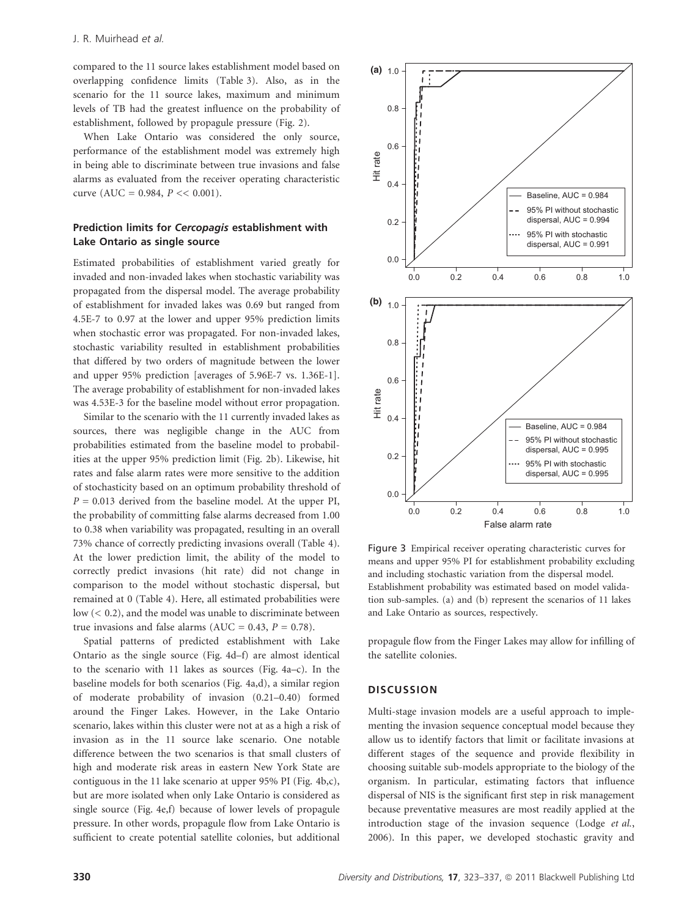compared to the 11 source lakes establishment model based on overlapping confidence limits (Table 3). Also, as in the scenario for the 11 source lakes, maximum and minimum levels of TB had the greatest influence on the probability of establishment, followed by propagule pressure (Fig. 2).

When Lake Ontario was considered the only source, performance of the establishment model was extremely high in being able to discriminate between true invasions and false alarms as evaluated from the receiver operating characteristic curve (AUC = 0.984,  $P \ll 0.001$ ).

# Prediction limits for Cercopagis establishment with Lake Ontario as single source

Estimated probabilities of establishment varied greatly for invaded and non-invaded lakes when stochastic variability was propagated from the dispersal model. The average probability of establishment for invaded lakes was 0.69 but ranged from 4.5E-7 to 0.97 at the lower and upper 95% prediction limits when stochastic error was propagated. For non-invaded lakes, stochastic variability resulted in establishment probabilities that differed by two orders of magnitude between the lower and upper 95% prediction [averages of 5.96E-7 vs. 1.36E-1]. The average probability of establishment for non-invaded lakes was 4.53E-3 for the baseline model without error propagation.

Similar to the scenario with the 11 currently invaded lakes as sources, there was negligible change in the AUC from probabilities estimated from the baseline model to probabilities at the upper 95% prediction limit (Fig. 2b). Likewise, hit rates and false alarm rates were more sensitive to the addition of stochasticity based on an optimum probability threshold of  $P = 0.013$  derived from the baseline model. At the upper PI, the probability of committing false alarms decreased from 1.00 to 0.38 when variability was propagated, resulting in an overall 73% chance of correctly predicting invasions overall (Table 4). At the lower prediction limit, the ability of the model to correctly predict invasions (hit rate) did not change in comparison to the model without stochastic dispersal, but remained at 0 (Table 4). Here, all estimated probabilities were low (< 0.2), and the model was unable to discriminate between true invasions and false alarms (AUC =  $0.43$ ,  $P = 0.78$ ).

Spatial patterns of predicted establishment with Lake Ontario as the single source (Fig. 4d–f) are almost identical to the scenario with 11 lakes as sources (Fig. 4a–c). In the baseline models for both scenarios (Fig. 4a,d), a similar region of moderate probability of invasion (0.21–0.40) formed around the Finger Lakes. However, in the Lake Ontario scenario, lakes within this cluster were not at as a high a risk of invasion as in the 11 source lake scenario. One notable difference between the two scenarios is that small clusters of high and moderate risk areas in eastern New York State are contiguous in the 11 lake scenario at upper 95% PI (Fig. 4b,c), but are more isolated when only Lake Ontario is considered as single source (Fig. 4e,f) because of lower levels of propagule pressure. In other words, propagule flow from Lake Ontario is sufficient to create potential satellite colonies, but additional



Figure 3 Empirical receiver operating characteristic curves for means and upper 95% PI for establishment probability excluding and including stochastic variation from the dispersal model. Establishment probability was estimated based on model validation sub-samples. (a) and (b) represent the scenarios of 11 lakes and Lake Ontario as sources, respectively.

propagule flow from the Finger Lakes may allow for infilling of the satellite colonies.

#### **DISCUSSION**

Multi-stage invasion models are a useful approach to implementing the invasion sequence conceptual model because they allow us to identify factors that limit or facilitate invasions at different stages of the sequence and provide flexibility in choosing suitable sub-models appropriate to the biology of the organism. In particular, estimating factors that influence dispersal of NIS is the significant first step in risk management because preventative measures are most readily applied at the introduction stage of the invasion sequence (Lodge et al., 2006). In this paper, we developed stochastic gravity and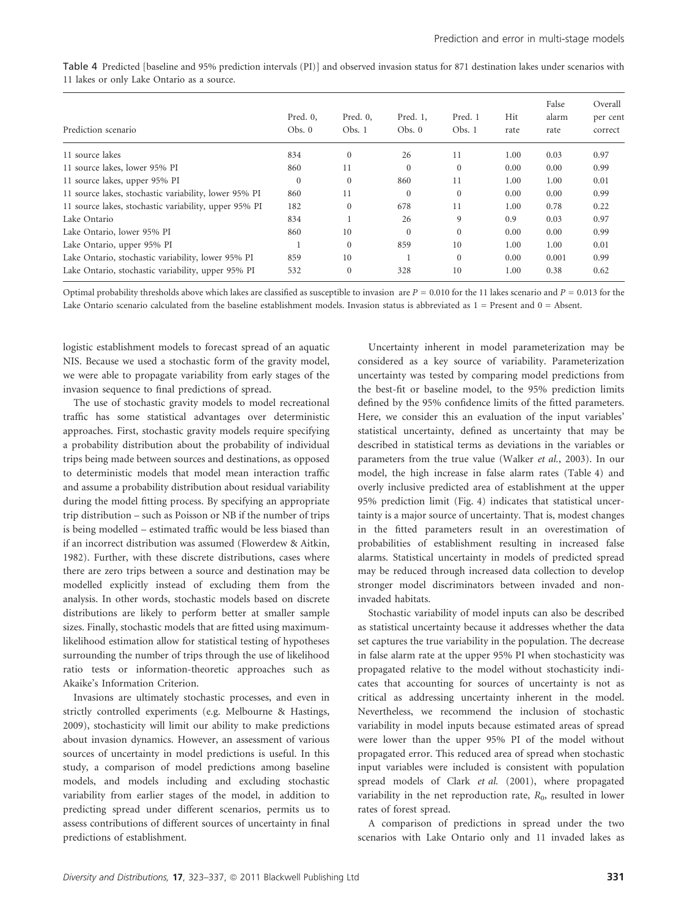| Prediction scenario                                   | Pred. $0$ .<br>Obs. 0 | Pred. $0$ ,<br>Obs.1 | Pred. 1.<br>Obs. 0 | Pred. 1<br>Obs. $1$ | Hit<br>rate | False<br>alarm<br>rate | Overall<br>per cent<br>correct |
|-------------------------------------------------------|-----------------------|----------------------|--------------------|---------------------|-------------|------------------------|--------------------------------|
| 11 source lakes                                       | 834                   | $\mathbf{0}$         | 26                 | 11                  | 1.00        | 0.03                   | 0.97                           |
| 11 source lakes, lower 95% PI                         | 860                   | 11                   | $\Omega$           | $\Omega$            | 0.00        | 0.00                   | 0.99                           |
| 11 source lakes, upper 95% PI                         | $\Omega$              | $\mathbf{0}$         | 860                | 11                  | 1.00        | 1.00                   | 0.01                           |
| 11 source lakes, stochastic variability, lower 95% PI | 860                   | 11                   | $\mathbf{0}$       | $\overline{0}$      | 0.00        | 0.00                   | 0.99                           |
| 11 source lakes, stochastic variability, upper 95% PI | 182                   | $\mathbf{0}$         | 678                | 11                  | 1.00        | 0.78                   | 0.22                           |
| Lake Ontario                                          | 834                   |                      | 26                 | 9                   | 0.9         | 0.03                   | 0.97                           |
| Lake Ontario, lower 95% PI                            | 860                   | 10                   | $\Omega$           | $\Omega$            | 0.00        | 0.00                   | 0.99                           |
| Lake Ontario, upper 95% PI                            |                       | $\mathbf{0}$         | 859                | 10                  | 1.00        | 1.00                   | 0.01                           |
| Lake Ontario, stochastic variability, lower 95% PI    | 859                   | 10                   |                    | $\Omega$            | 0.00        | 0.001                  | 0.99                           |
| Lake Ontario, stochastic variability, upper 95% PI    | 532                   | $\mathbf{0}$         | 328                | 10                  | 1.00        | 0.38                   | 0.62                           |

Table 4 Predicted [baseline and 95% prediction intervals (PI)] and observed invasion status for 871 destination lakes under scenarios with 11 lakes or only Lake Ontario as a source.

Optimal probability thresholds above which lakes are classified as susceptible to invasion are  $P = 0.010$  for the 11 lakes scenario and  $P = 0.013$  for the Lake Ontario scenario calculated from the baseline establishment models. Invasion status is abbreviated as  $1 =$  Present and  $0 =$  Absent.

logistic establishment models to forecast spread of an aquatic NIS. Because we used a stochastic form of the gravity model, we were able to propagate variability from early stages of the invasion sequence to final predictions of spread.

The use of stochastic gravity models to model recreational traffic has some statistical advantages over deterministic approaches. First, stochastic gravity models require specifying a probability distribution about the probability of individual trips being made between sources and destinations, as opposed to deterministic models that model mean interaction traffic and assume a probability distribution about residual variability during the model fitting process. By specifying an appropriate trip distribution – such as Poisson or NB if the number of trips is being modelled – estimated traffic would be less biased than if an incorrect distribution was assumed (Flowerdew & Aitkin, 1982). Further, with these discrete distributions, cases where there are zero trips between a source and destination may be modelled explicitly instead of excluding them from the analysis. In other words, stochastic models based on discrete distributions are likely to perform better at smaller sample sizes. Finally, stochastic models that are fitted using maximumlikelihood estimation allow for statistical testing of hypotheses surrounding the number of trips through the use of likelihood ratio tests or information-theoretic approaches such as Akaike's Information Criterion.

Invasions are ultimately stochastic processes, and even in strictly controlled experiments (e.g. Melbourne & Hastings, 2009), stochasticity will limit our ability to make predictions about invasion dynamics. However, an assessment of various sources of uncertainty in model predictions is useful. In this study, a comparison of model predictions among baseline models, and models including and excluding stochastic variability from earlier stages of the model, in addition to predicting spread under different scenarios, permits us to assess contributions of different sources of uncertainty in final predictions of establishment.

Uncertainty inherent in model parameterization may be considered as a key source of variability. Parameterization uncertainty was tested by comparing model predictions from the best-fit or baseline model, to the 95% prediction limits defined by the 95% confidence limits of the fitted parameters. Here, we consider this an evaluation of the input variables' statistical uncertainty, defined as uncertainty that may be described in statistical terms as deviations in the variables or parameters from the true value (Walker et al., 2003). In our model, the high increase in false alarm rates (Table 4) and overly inclusive predicted area of establishment at the upper 95% prediction limit (Fig. 4) indicates that statistical uncertainty is a major source of uncertainty. That is, modest changes in the fitted parameters result in an overestimation of probabilities of establishment resulting in increased false alarms. Statistical uncertainty in models of predicted spread may be reduced through increased data collection to develop stronger model discriminators between invaded and noninvaded habitats.

Stochastic variability of model inputs can also be described as statistical uncertainty because it addresses whether the data set captures the true variability in the population. The decrease in false alarm rate at the upper 95% PI when stochasticity was propagated relative to the model without stochasticity indicates that accounting for sources of uncertainty is not as critical as addressing uncertainty inherent in the model. Nevertheless, we recommend the inclusion of stochastic variability in model inputs because estimated areas of spread were lower than the upper 95% PI of the model without propagated error. This reduced area of spread when stochastic input variables were included is consistent with population spread models of Clark et al. (2001), where propagated variability in the net reproduction rate,  $R_0$ , resulted in lower rates of forest spread.

A comparison of predictions in spread under the two scenarios with Lake Ontario only and 11 invaded lakes as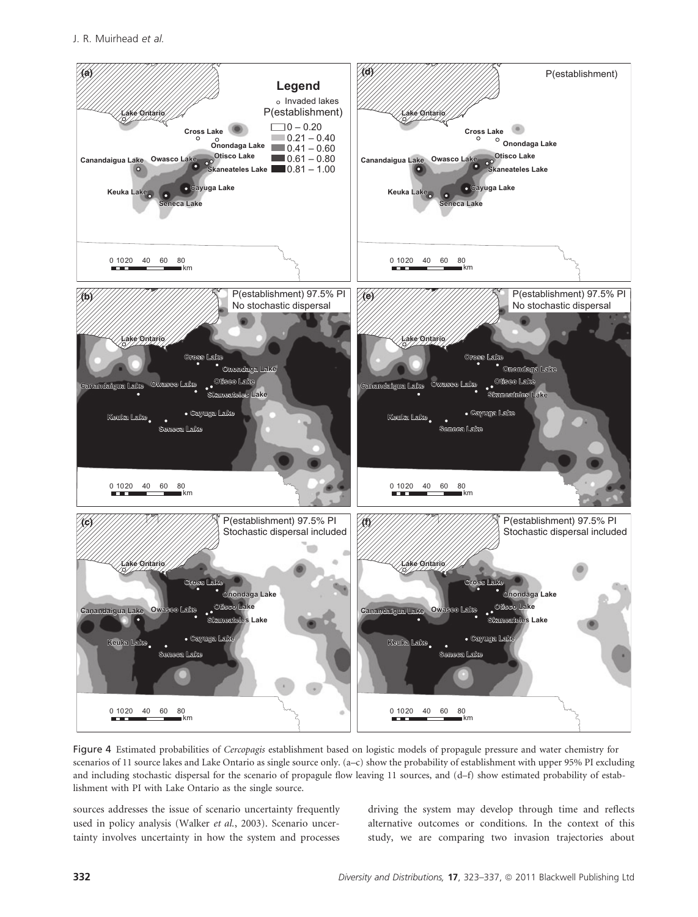

Figure 4 Estimated probabilities of Cercopagis establishment based on logistic models of propagule pressure and water chemistry for scenarios of 11 source lakes and Lake Ontario as single source only. (a–c) show the probability of establishment with upper 95% PI excluding and including stochastic dispersal for the scenario of propagule flow leaving 11 sources, and  $(d-f)$  show estimated probability of establishment with PI with Lake Ontario as the single source.

sources addresses the issue of scenario uncertainty frequently used in policy analysis (Walker et al., 2003). Scenario uncertainty involves uncertainty in how the system and processes driving the system may develop through time and reflects alternative outcomes or conditions. In the context of this study, we are comparing two invasion trajectories about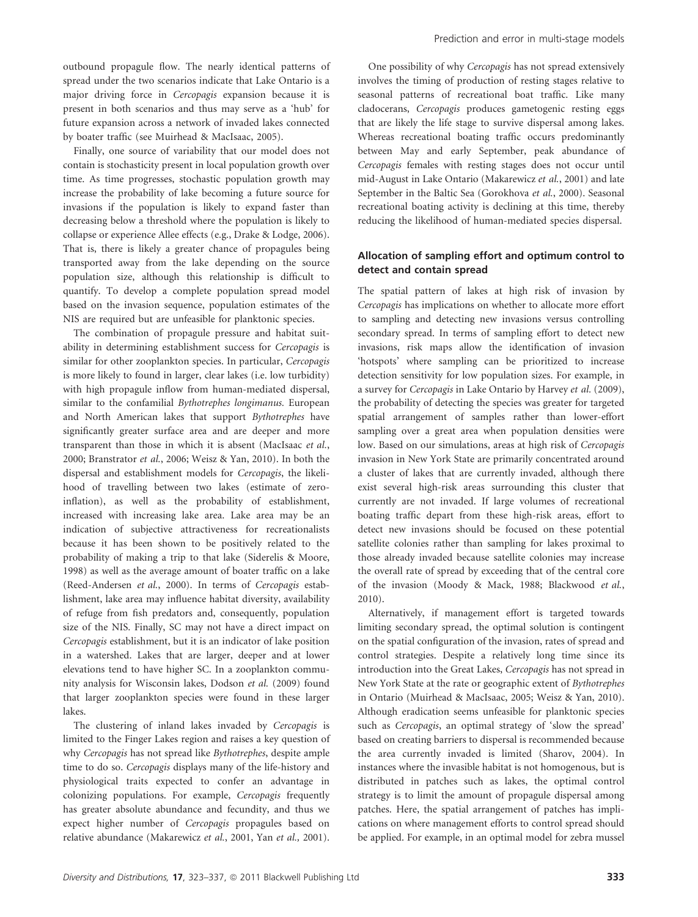outbound propagule flow. The nearly identical patterns of spread under the two scenarios indicate that Lake Ontario is a major driving force in Cercopagis expansion because it is present in both scenarios and thus may serve as a 'hub' for future expansion across a network of invaded lakes connected by boater traffic (see Muirhead & MacIsaac, 2005).

Finally, one source of variability that our model does not contain is stochasticity present in local population growth over time. As time progresses, stochastic population growth may increase the probability of lake becoming a future source for invasions if the population is likely to expand faster than decreasing below a threshold where the population is likely to collapse or experience Allee effects (e.g., Drake & Lodge, 2006). That is, there is likely a greater chance of propagules being transported away from the lake depending on the source population size, although this relationship is difficult to quantify. To develop a complete population spread model based on the invasion sequence, population estimates of the NIS are required but are unfeasible for planktonic species.

The combination of propagule pressure and habitat suitability in determining establishment success for Cercopagis is similar for other zooplankton species. In particular, Cercopagis is more likely to found in larger, clear lakes (i.e. low turbidity) with high propagule inflow from human-mediated dispersal, similar to the confamilial Bythotrephes longimanus. European and North American lakes that support Bythotrephes have significantly greater surface area and are deeper and more transparent than those in which it is absent (MacIsaac et al., 2000; Branstrator et al., 2006; Weisz & Yan, 2010). In both the dispersal and establishment models for Cercopagis, the likelihood of travelling between two lakes (estimate of zeroinflation), as well as the probability of establishment, increased with increasing lake area. Lake area may be an indication of subjective attractiveness for recreationalists because it has been shown to be positively related to the probability of making a trip to that lake (Siderelis & Moore, 1998) as well as the average amount of boater traffic on a lake (Reed-Andersen et al., 2000). In terms of Cercopagis establishment, lake area may influence habitat diversity, availability of refuge from fish predators and, consequently, population size of the NIS. Finally, SC may not have a direct impact on Cercopagis establishment, but it is an indicator of lake position in a watershed. Lakes that are larger, deeper and at lower elevations tend to have higher SC. In a zooplankton community analysis for Wisconsin lakes, Dodson et al. (2009) found that larger zooplankton species were found in these larger lakes.

The clustering of inland lakes invaded by Cercopagis is limited to the Finger Lakes region and raises a key question of why Cercopagis has not spread like Bythotrephes, despite ample time to do so. Cercopagis displays many of the life-history and physiological traits expected to confer an advantage in colonizing populations. For example, Cercopagis frequently has greater absolute abundance and fecundity, and thus we expect higher number of Cercopagis propagules based on relative abundance (Makarewicz et al., 2001, Yan et al., 2001).

One possibility of why Cercopagis has not spread extensively involves the timing of production of resting stages relative to seasonal patterns of recreational boat traffic. Like many cladocerans, Cercopagis produces gametogenic resting eggs that are likely the life stage to survive dispersal among lakes. Whereas recreational boating traffic occurs predominantly between May and early September, peak abundance of Cercopagis females with resting stages does not occur until mid-August in Lake Ontario (Makarewicz et al., 2001) and late September in the Baltic Sea (Gorokhova et al., 2000). Seasonal recreational boating activity is declining at this time, thereby reducing the likelihood of human-mediated species dispersal.

# Allocation of sampling effort and optimum control to detect and contain spread

The spatial pattern of lakes at high risk of invasion by Cercopagis has implications on whether to allocate more effort to sampling and detecting new invasions versus controlling secondary spread. In terms of sampling effort to detect new invasions, risk maps allow the identification of invasion 'hotspots' where sampling can be prioritized to increase detection sensitivity for low population sizes. For example, in a survey for Cercopagis in Lake Ontario by Harvey et al. (2009), the probability of detecting the species was greater for targeted spatial arrangement of samples rather than lower-effort sampling over a great area when population densities were low. Based on our simulations, areas at high risk of Cercopagis invasion in New York State are primarily concentrated around a cluster of lakes that are currently invaded, although there exist several high-risk areas surrounding this cluster that currently are not invaded. If large volumes of recreational boating traffic depart from these high-risk areas, effort to detect new invasions should be focused on these potential satellite colonies rather than sampling for lakes proximal to those already invaded because satellite colonies may increase the overall rate of spread by exceeding that of the central core of the invasion (Moody & Mack, 1988; Blackwood et al., 2010).

Alternatively, if management effort is targeted towards limiting secondary spread, the optimal solution is contingent on the spatial configuration of the invasion, rates of spread and control strategies. Despite a relatively long time since its introduction into the Great Lakes, Cercopagis has not spread in New York State at the rate or geographic extent of Bythotrephes in Ontario (Muirhead & MacIsaac, 2005; Weisz & Yan, 2010). Although eradication seems unfeasible for planktonic species such as Cercopagis, an optimal strategy of 'slow the spread' based on creating barriers to dispersal is recommended because the area currently invaded is limited (Sharov, 2004). In instances where the invasible habitat is not homogenous, but is distributed in patches such as lakes, the optimal control strategy is to limit the amount of propagule dispersal among patches. Here, the spatial arrangement of patches has implications on where management efforts to control spread should be applied. For example, in an optimal model for zebra mussel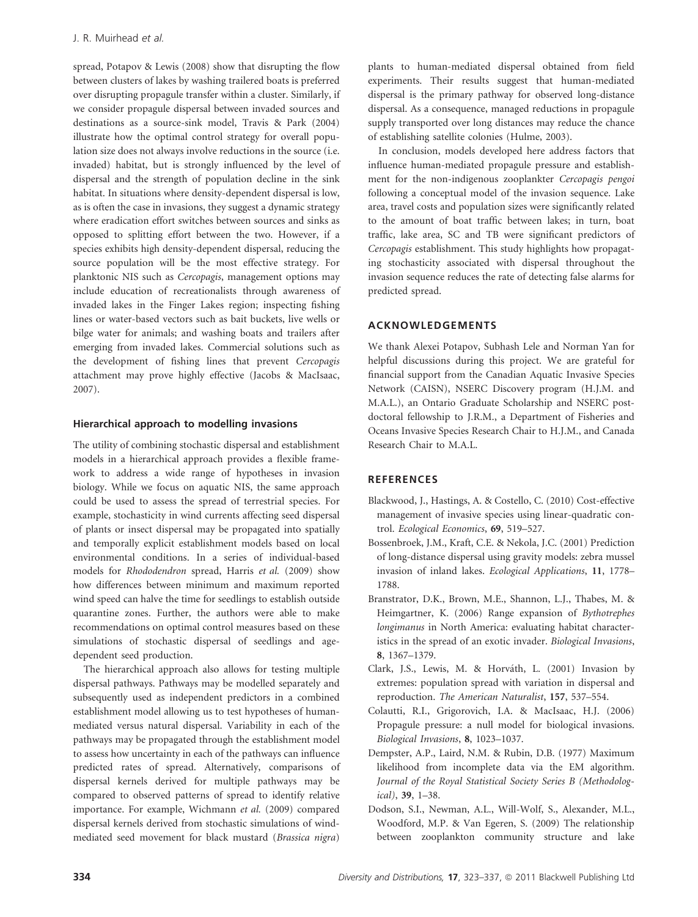spread, Potapov & Lewis (2008) show that disrupting the flow between clusters of lakes by washing trailered boats is preferred over disrupting propagule transfer within a cluster. Similarly, if we consider propagule dispersal between invaded sources and destinations as a source-sink model, Travis & Park (2004) illustrate how the optimal control strategy for overall population size does not always involve reductions in the source (i.e. invaded) habitat, but is strongly influenced by the level of dispersal and the strength of population decline in the sink habitat. In situations where density-dependent dispersal is low, as is often the case in invasions, they suggest a dynamic strategy where eradication effort switches between sources and sinks as opposed to splitting effort between the two. However, if a species exhibits high density-dependent dispersal, reducing the source population will be the most effective strategy. For planktonic NIS such as Cercopagis, management options may include education of recreationalists through awareness of invaded lakes in the Finger Lakes region; inspecting fishing lines or water-based vectors such as bait buckets, live wells or bilge water for animals; and washing boats and trailers after emerging from invaded lakes. Commercial solutions such as the development of fishing lines that prevent Cercopagis attachment may prove highly effective (Jacobs & MacIsaac, 2007).

## Hierarchical approach to modelling invasions

The utility of combining stochastic dispersal and establishment models in a hierarchical approach provides a flexible framework to address a wide range of hypotheses in invasion biology. While we focus on aquatic NIS, the same approach could be used to assess the spread of terrestrial species. For example, stochasticity in wind currents affecting seed dispersal of plants or insect dispersal may be propagated into spatially and temporally explicit establishment models based on local environmental conditions. In a series of individual-based models for Rhododendron spread, Harris et al. (2009) show how differences between minimum and maximum reported wind speed can halve the time for seedlings to establish outside quarantine zones. Further, the authors were able to make recommendations on optimal control measures based on these simulations of stochastic dispersal of seedlings and agedependent seed production.

The hierarchical approach also allows for testing multiple dispersal pathways. Pathways may be modelled separately and subsequently used as independent predictors in a combined establishment model allowing us to test hypotheses of humanmediated versus natural dispersal. Variability in each of the pathways may be propagated through the establishment model to assess how uncertainty in each of the pathways can influence predicted rates of spread. Alternatively, comparisons of dispersal kernels derived for multiple pathways may be compared to observed patterns of spread to identify relative importance. For example, Wichmann et al. (2009) compared dispersal kernels derived from stochastic simulations of windmediated seed movement for black mustard (Brassica nigra)

plants to human-mediated dispersal obtained from field experiments. Their results suggest that human-mediated dispersal is the primary pathway for observed long-distance dispersal. As a consequence, managed reductions in propagule supply transported over long distances may reduce the chance of establishing satellite colonies (Hulme, 2003).

In conclusion, models developed here address factors that influence human-mediated propagule pressure and establishment for the non-indigenous zooplankter Cercopagis pengoi following a conceptual model of the invasion sequence. Lake area, travel costs and population sizes were significantly related to the amount of boat traffic between lakes; in turn, boat traffic, lake area, SC and TB were significant predictors of Cercopagis establishment. This study highlights how propagating stochasticity associated with dispersal throughout the invasion sequence reduces the rate of detecting false alarms for predicted spread.

## ACKNOWLEDGEMENTS

We thank Alexei Potapov, Subhash Lele and Norman Yan for helpful discussions during this project. We are grateful for financial support from the Canadian Aquatic Invasive Species Network (CAISN), NSERC Discovery program (H.J.M. and M.A.L.), an Ontario Graduate Scholarship and NSERC postdoctoral fellowship to J.R.M., a Department of Fisheries and Oceans Invasive Species Research Chair to H.J.M., and Canada Research Chair to M.A.L.

## REFERENCES

- Blackwood, J., Hastings, A. & Costello, C. (2010) Cost-effective management of invasive species using linear-quadratic control. Ecological Economics, 69, 519–527.
- Bossenbroek, J.M., Kraft, C.E. & Nekola, J.C. (2001) Prediction of long-distance dispersal using gravity models: zebra mussel invasion of inland lakes. Ecological Applications, 11, 1778– 1788.
- Branstrator, D.K., Brown, M.E., Shannon, L.J., Thabes, M. & Heimgartner, K. (2006) Range expansion of Bythotrephes longimanus in North America: evaluating habitat characteristics in the spread of an exotic invader. Biological Invasions, 8, 1367–1379.
- Clark, J.S., Lewis, M. & Horváth, L. (2001) Invasion by extremes: population spread with variation in dispersal and reproduction. The American Naturalist, 157, 537–554.
- Colautti, R.I., Grigorovich, I.A. & MacIsaac, H.J. (2006) Propagule pressure: a null model for biological invasions. Biological Invasions, 8, 1023–1037.
- Dempster, A.P., Laird, N.M. & Rubin, D.B. (1977) Maximum likelihood from incomplete data via the EM algorithm. Journal of the Royal Statistical Society Series B (Methodological), 39, 1–38.
- Dodson, S.I., Newman, A.L., Will-Wolf, S., Alexander, M.L., Woodford, M.P. & Van Egeren, S. (2009) The relationship between zooplankton community structure and lake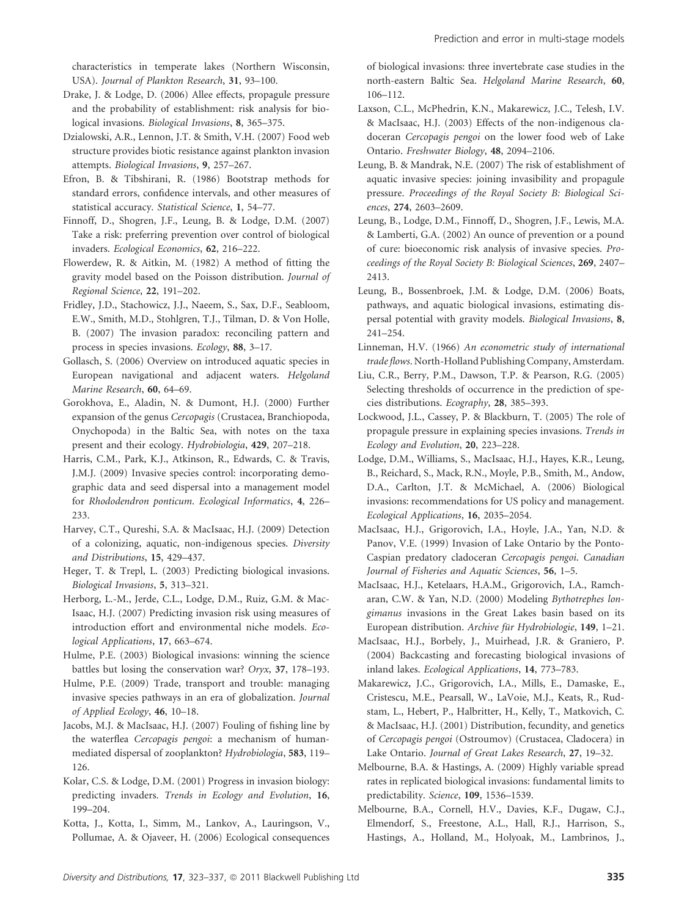characteristics in temperate lakes (Northern Wisconsin, USA). Journal of Plankton Research, 31, 93–100.

- Drake, J. & Lodge, D. (2006) Allee effects, propagule pressure and the probability of establishment: risk analysis for biological invasions. Biological Invasions, 8, 365–375.
- Dzialowski, A.R., Lennon, J.T. & Smith, V.H. (2007) Food web structure provides biotic resistance against plankton invasion attempts. Biological Invasions, 9, 257–267.
- Efron, B. & Tibshirani, R. (1986) Bootstrap methods for standard errors, confidence intervals, and other measures of statistical accuracy. Statistical Science, 1, 54–77.
- Finnoff, D., Shogren, J.F., Leung, B. & Lodge, D.M. (2007) Take a risk: preferring prevention over control of biological invaders. Ecological Economics, 62, 216–222.
- Flowerdew, R. & Aitkin, M. (1982) A method of fitting the gravity model based on the Poisson distribution. Journal of Regional Science, 22, 191–202.
- Fridley, J.D., Stachowicz, J.J., Naeem, S., Sax, D.F., Seabloom, E.W., Smith, M.D., Stohlgren, T.J., Tilman, D. & Von Holle, B. (2007) The invasion paradox: reconciling pattern and process in species invasions. Ecology, 88, 3–17.
- Gollasch, S. (2006) Overview on introduced aquatic species in European navigational and adjacent waters. Helgoland Marine Research, 60, 64–69.
- Gorokhova, E., Aladin, N. & Dumont, H.J. (2000) Further expansion of the genus Cercopagis (Crustacea, Branchiopoda, Onychopoda) in the Baltic Sea, with notes on the taxa present and their ecology. Hydrobiologia, 429, 207–218.
- Harris, C.M., Park, K.J., Atkinson, R., Edwards, C. & Travis, J.M.J. (2009) Invasive species control: incorporating demographic data and seed dispersal into a management model for Rhododendron ponticum. Ecological Informatics, 4, 226– 233.
- Harvey, C.T., Qureshi, S.A. & MacIsaac, H.J. (2009) Detection of a colonizing, aquatic, non-indigenous species. Diversity and Distributions, 15, 429–437.
- Heger, T. & Trepl, L. (2003) Predicting biological invasions. Biological Invasions, 5, 313–321.
- Herborg, L.-M., Jerde, C.L., Lodge, D.M., Ruiz, G.M. & Mac-Isaac, H.J. (2007) Predicting invasion risk using measures of introduction effort and environmental niche models. Ecological Applications, 17, 663–674.
- Hulme, P.E. (2003) Biological invasions: winning the science battles but losing the conservation war? Oryx, 37, 178–193.
- Hulme, P.E. (2009) Trade, transport and trouble: managing invasive species pathways in an era of globalization. Journal of Applied Ecology, 46, 10–18.
- Jacobs, M.J. & MacIsaac, H.J. (2007) Fouling of fishing line by the waterflea Cercopagis pengoi: a mechanism of humanmediated dispersal of zooplankton? Hydrobiologia, 583, 119– 126.
- Kolar, C.S. & Lodge, D.M. (2001) Progress in invasion biology: predicting invaders. Trends in Ecology and Evolution, 16, 199–204.
- Kotta, J., Kotta, I., Simm, M., Lankov, A., Lauringson, V., Pollumae, A. & Ojaveer, H. (2006) Ecological consequences

of biological invasions: three invertebrate case studies in the north-eastern Baltic Sea. Helgoland Marine Research, 60, 106–112.

- Laxson, C.L., McPhedrin, K.N., Makarewicz, J.C., Telesh, I.V. & MacIsaac, H.J. (2003) Effects of the non-indigenous cladoceran Cercopagis pengoi on the lower food web of Lake Ontario. Freshwater Biology, 48, 2094–2106.
- Leung, B. & Mandrak, N.E. (2007) The risk of establishment of aquatic invasive species: joining invasibility and propagule pressure. Proceedings of the Royal Society B: Biological Sciences, 274, 2603–2609.
- Leung, B., Lodge, D.M., Finnoff, D., Shogren, J.F., Lewis, M.A. & Lamberti, G.A. (2002) An ounce of prevention or a pound of cure: bioeconomic risk analysis of invasive species. Proceedings of the Royal Society B: Biological Sciences, 269, 2407– 2413.
- Leung, B., Bossenbroek, J.M. & Lodge, D.M. (2006) Boats, pathways, and aquatic biological invasions, estimating dispersal potential with gravity models. Biological Invasions, 8, 241–254.
- Linneman, H.V. (1966) An econometric study of international trade flows. North-Holland Publishing Company, Amsterdam.
- Liu, C.R., Berry, P.M., Dawson, T.P. & Pearson, R.G. (2005) Selecting thresholds of occurrence in the prediction of species distributions. Ecography, 28, 385–393.
- Lockwood, J.L., Cassey, P. & Blackburn, T. (2005) The role of propagule pressure in explaining species invasions. Trends in Ecology and Evolution, 20, 223–228.
- Lodge, D.M., Williams, S., MacIsaac, H.J., Hayes, K.R., Leung, B., Reichard, S., Mack, R.N., Moyle, P.B., Smith, M., Andow, D.A., Carlton, J.T. & McMichael, A. (2006) Biological invasions: recommendations for US policy and management. Ecological Applications, 16, 2035–2054.
- MacIsaac, H.J., Grigorovich, I.A., Hoyle, J.A., Yan, N.D. & Panov, V.E. (1999) Invasion of Lake Ontario by the Ponto-Caspian predatory cladoceran Cercopagis pengoi. Canadian Journal of Fisheries and Aquatic Sciences, 56, 1–5.
- MacIsaac, H.J., Ketelaars, H.A.M., Grigorovich, I.A., Ramcharan, C.W. & Yan, N.D. (2000) Modeling Bythotrephes longimanus invasions in the Great Lakes basin based on its European distribution. Archive für Hydrobiologie, 149, 1-21.
- MacIsaac, H.J., Borbely, J., Muirhead, J.R. & Graniero, P. (2004) Backcasting and forecasting biological invasions of inland lakes. Ecological Applications, 14, 773–783.
- Makarewicz, J.C., Grigorovich, I.A., Mills, E., Damaske, E., Cristescu, M.E., Pearsall, W., LaVoie, M.J., Keats, R., Rudstam, L., Hebert, P., Halbritter, H., Kelly, T., Matkovich, C. & MacIsaac, H.J. (2001) Distribution, fecundity, and genetics of Cercopagis pengoi (Ostroumov) (Crustacea, Cladocera) in Lake Ontario. Journal of Great Lakes Research, 27, 19–32.
- Melbourne, B.A. & Hastings, A. (2009) Highly variable spread rates in replicated biological invasions: fundamental limits to predictability. Science, 109, 1536–1539.
- Melbourne, B.A., Cornell, H.V., Davies, K.F., Dugaw, C.J., Elmendorf, S., Freestone, A.L., Hall, R.J., Harrison, S., Hastings, A., Holland, M., Holyoak, M., Lambrinos, J.,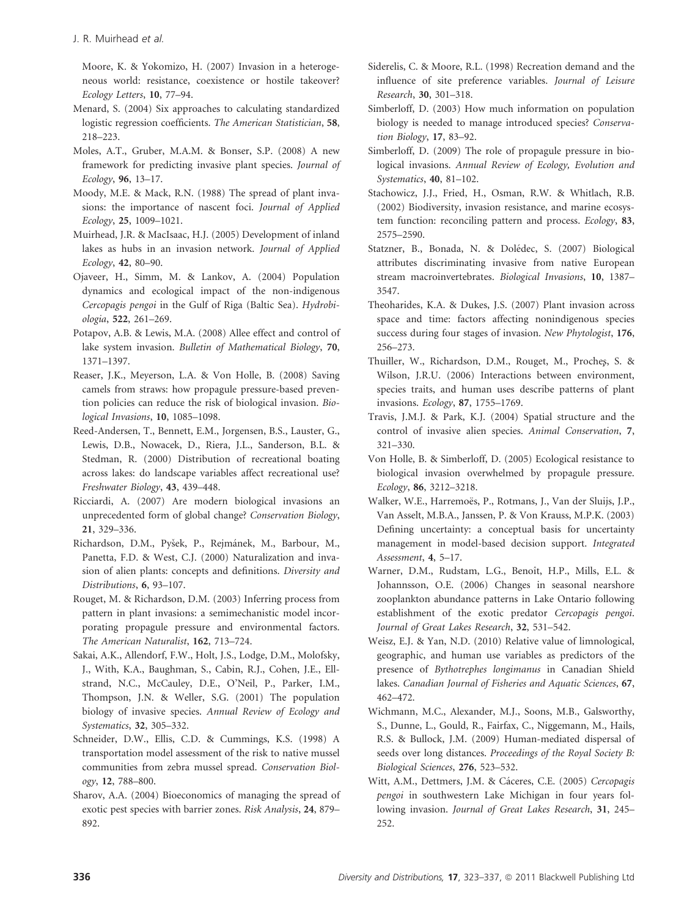Moore, K. & Yokomizo, H. (2007) Invasion in a heterogeneous world: resistance, coexistence or hostile takeover? Ecology Letters, 10, 77–94.

Menard, S. (2004) Six approaches to calculating standardized logistic regression coefficients. The American Statistician, 58, 218–223.

Moles, A.T., Gruber, M.A.M. & Bonser, S.P. (2008) A new framework for predicting invasive plant species. Journal of Ecology, 96, 13–17.

Moody, M.E. & Mack, R.N. (1988) The spread of plant invasions: the importance of nascent foci. Journal of Applied Ecology, 25, 1009–1021.

Muirhead, J.R. & MacIsaac, H.J. (2005) Development of inland lakes as hubs in an invasion network. Journal of Applied Ecology, 42, 80–90.

Ojaveer, H., Simm, M. & Lankov, A. (2004) Population dynamics and ecological impact of the non-indigenous Cercopagis pengoi in the Gulf of Riga (Baltic Sea). Hydrobiologia, 522, 261–269.

Potapov, A.B. & Lewis, M.A. (2008) Allee effect and control of lake system invasion. Bulletin of Mathematical Biology, 70, 1371–1397.

Reaser, J.K., Meyerson, L.A. & Von Holle, B. (2008) Saving camels from straws: how propagule pressure-based prevention policies can reduce the risk of biological invasion. Biological Invasions, 10, 1085–1098.

Reed-Andersen, T., Bennett, E.M., Jorgensen, B.S., Lauster, G., Lewis, D.B., Nowacek, D., Riera, J.L., Sanderson, B.L. & Stedman, R. (2000) Distribution of recreational boating across lakes: do landscape variables affect recreational use? Freshwater Biology, 43, 439–448.

Ricciardi, A. (2007) Are modern biological invasions an unprecedented form of global change? Conservation Biology, 21, 329–336.

Richardson, D.M., Pyšek, P., Rejmánek, M., Barbour, M., Panetta, F.D. & West, C.J. (2000) Naturalization and invasion of alien plants: concepts and definitions. Diversity and Distributions, 6, 93–107.

Rouget, M. & Richardson, D.M. (2003) Inferring process from pattern in plant invasions: a semimechanistic model incorporating propagule pressure and environmental factors. The American Naturalist, 162, 713–724.

Sakai, A.K., Allendorf, F.W., Holt, J.S., Lodge, D.M., Molofsky, J., With, K.A., Baughman, S., Cabin, R.J., Cohen, J.E., Ellstrand, N.C., McCauley, D.E., O'Neil, P., Parker, I.M., Thompson, J.N. & Weller, S.G. (2001) The population biology of invasive species. Annual Review of Ecology and Systematics, 32, 305–332.

Schneider, D.W., Ellis, C.D. & Cummings, K.S. (1998) A transportation model assessment of the risk to native mussel communities from zebra mussel spread. Conservation Biology, 12, 788–800.

Sharov, A.A. (2004) Bioeconomics of managing the spread of exotic pest species with barrier zones. Risk Analysis, 24, 879– 892.

- Siderelis, C. & Moore, R.L. (1998) Recreation demand and the influence of site preference variables. Journal of Leisure Research, 30, 301–318.
- Simberloff, D. (2003) How much information on population biology is needed to manage introduced species? Conservation Biology, 17, 83–92.
- Simberloff, D. (2009) The role of propagule pressure in biological invasions. Annual Review of Ecology, Evolution and Systematics, 40, 81–102.

Stachowicz, J.J., Fried, H., Osman, R.W. & Whitlach, R.B. (2002) Biodiversity, invasion resistance, and marine ecosystem function: reconciling pattern and process. Ecology, 83, 2575–2590.

Statzner, B., Bonada, N. & Dolédec, S. (2007) Biological attributes discriminating invasive from native European stream macroinvertebrates. Biological Invasions, 10, 1387– 3547.

Theoharides, K.A. & Dukes, J.S. (2007) Plant invasion across space and time: factors affecting nonindigenous species success during four stages of invasion. New Phytologist, 176, 256–273.

Thuiller, W., Richardson, D.M., Rouget, M., Proches¸, S. & Wilson, J.R.U. (2006) Interactions between environment, species traits, and human uses describe patterns of plant invasions. Ecology, 87, 1755–1769.

Travis, J.M.J. & Park, K.J. (2004) Spatial structure and the control of invasive alien species. Animal Conservation, 7, 321–330.

Von Holle, B. & Simberloff, D. (2005) Ecological resistance to biological invasion overwhelmed by propagule pressure. Ecology, 86, 3212–3218.

Walker, W.E., Harremoës, P., Rotmans, J., Van der Sluijs, J.P., Van Asselt, M.B.A., Janssen, P. & Von Krauss, M.P.K. (2003) Defining uncertainty: a conceptual basis for uncertainty management in model-based decision support. Integrated Assessment, 4, 5–17.

Warner, D.M., Rudstam, L.G., Benoît, H.P., Mills, E.L. & Johannsson, O.E. (2006) Changes in seasonal nearshore zooplankton abundance patterns in Lake Ontario following establishment of the exotic predator Cercopagis pengoi. Journal of Great Lakes Research, 32, 531–542.

Weisz, E.J. & Yan, N.D. (2010) Relative value of limnological, geographic, and human use variables as predictors of the presence of Bythotrephes longimanus in Canadian Shield lakes. Canadian Journal of Fisheries and Aquatic Sciences, 67, 462–472.

Wichmann, M.C., Alexander, M.J., Soons, M.B., Galsworthy, S., Dunne, L., Gould, R., Fairfax, C., Niggemann, M., Hails, R.S. & Bullock, J.M. (2009) Human-mediated dispersal of seeds over long distances. Proceedings of the Royal Society B: Biological Sciences, 276, 523–532.

Witt, A.M., Dettmers, J.M. & Cáceres, C.E. (2005) Cercopagis pengoi in southwestern Lake Michigan in four years following invasion. Journal of Great Lakes Research, 31, 245– 252.